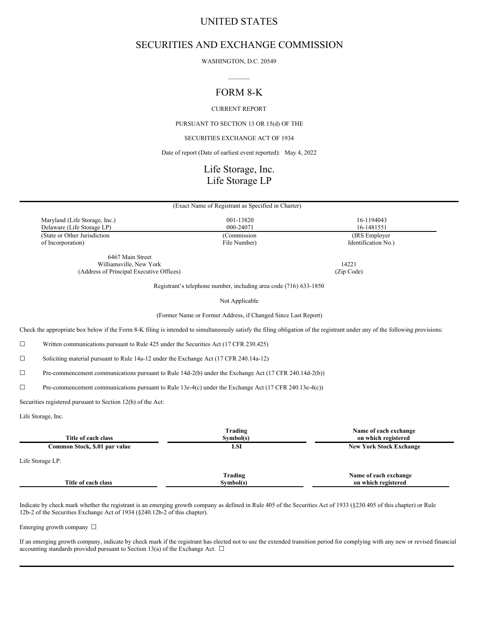# UNITED STATES

# SECURITIES AND EXCHANGE COMMISSION

WASHINGTON, D.C. 20549  $\mathcal{L}=\mathcal{L}$ 

# FORM 8-K

CURRENT REPORT

PURSUANT TO SECTION 13 OR 15(d) OF THE

SECURITIES EXCHANGE ACT OF 1934

Date of report (Date of earliest event reported): May 4, 2022

# Life Storage, Inc. Life Storage LP

| (Exact Name of Registrant as Specified in Charter) |              |                     |  |  |  |  |
|----------------------------------------------------|--------------|---------------------|--|--|--|--|
| Maryland (Life Storage, Inc.)                      | 001-13820    | 16-1194043          |  |  |  |  |
| Delaware (Life Storage LP)                         | 000-24071    | 16-1481551          |  |  |  |  |
| (State or Other Jurisdiction                       | (Commission) | (IRS Employer)      |  |  |  |  |
| of Incorporation)                                  | File Number) | Identification No.) |  |  |  |  |
| 6467 Main Street                                   |              |                     |  |  |  |  |
| Williamsville, New York                            |              | 14221               |  |  |  |  |

(Address of Principal Executive Offices) (Zip Code)

Registrant's telephone number, including area code (716) 633-1850

Not Applicable

(Former Name or Former Address, if Changed Since Last Report)

Check the appropriate box below if the Form 8-K filing is intended to simultaneously satisfy the filing obligation of the registrant under any of the following provisions:

☐ Written communications pursuant to Rule 425 under the Securities Act (17 CFR 230.425)

☐ Soliciting material pursuant to Rule 14a-12 under the Exchange Act (17 CFR 240.14a-12)

☐ Pre-commencement communications pursuant to Rule 14d-2(b) under the Exchange Act (17 CFR 240.14d-2(b))

☐ Pre-commencement communications pursuant to Rule 13e-4(c) under the Exchange Act (17 CFR 240.13e-4(c))

Securities registered pursuant to Section 12(b) of the Act:

Life Storage, Inc.

| Title of each class           | Trading<br>Sumbol(s) | Name of each exchange<br>on which registered |
|-------------------------------|----------------------|----------------------------------------------|
| Common Stock, \$.01 par value | LSI                  | <b>New York Stock Exchange</b>               |
| Life Storage LP:              |                      |                                              |
| Title of each class           | Trading<br>Symbol(s) | Name of each exchange<br>on which registered |

Indicate by check mark whether the registrant is an emerging growth company as defined in Rule 405 of the Securities Act of 1933 (§230.405 of this chapter) or Rule 12b-2 of the Securities Exchange Act of 1934 (§240.12b-2 of this chapter).

Emerging growth company ☐

If an emerging growth company, indicate by check mark if the registrant has elected not to use the extended transition period for complying with any new or revised financial accounting standards provided pursuant to Section 13(a) of the Exchange Act.  $\Box$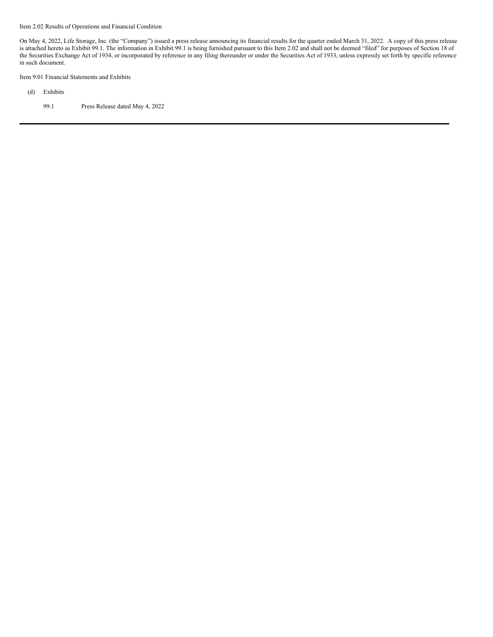Item 2.02 Results of Operations and Financial Condition

On May 4, 2022, Life Storage, Inc. (the "Company") issued a press release announcing its financial results for the quarter ended March 31, 2022. A copy of this press release is attached hereto as Exhibit 99.1. The information in Exhibit 99.1 is being furnished pursuant to this Item 2.02 and shall not be deemed "filed" for purposes of Section 18 of the Securities Exchange Act of 1934, or incorporated by reference in any filing thereunder or under the Securities Act of 1933, unless expressly set forth by specific reference in such document.

Item 9.01 Financial Statements and Exhibits

- (d) Exhibits
	- 99.1 Press Release dated May 4, 2022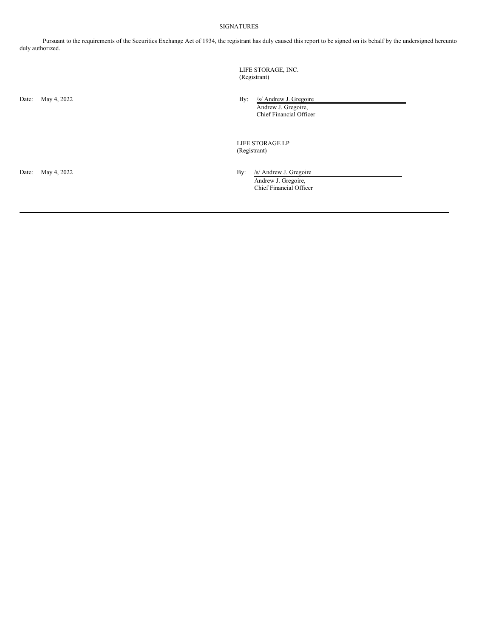# SIGNATURES

Pursuant to the requirements of the Securities Exchange Act of 1934, the registrant has duly caused this report to be signed on its behalf by the undersigned hereunto duly authorized.

> LIFE STORAGE, INC. (Registrant)

Date: May 4, 2022 By: /s/ Andrew J. Gregoire Andrew J. Gregoire, Chief Financial Officer

> LIFE STORAGE LP (Registrant)

Date: May 4, 2022 By: /s/ Andrew J. Gregoire Andrew J. Gregoire, Chief Financial Officer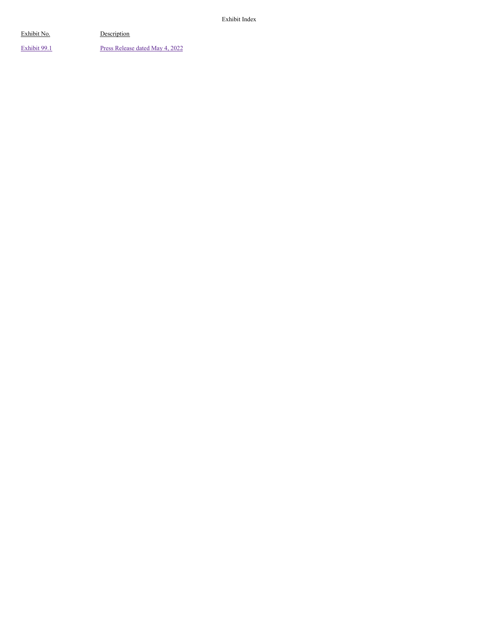[Exhibit](#page-10-0) 99.1 Press [Release](#page-10-0) dated May 4, 2022

Exhibit Index

Exhibit No. Description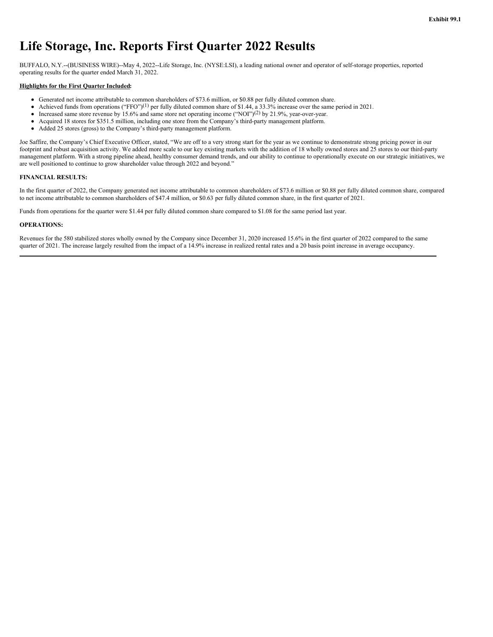# **Life Storage, Inc. Reports First Quarter 2022 Results**

BUFFALO, N.Y.--(BUSINESS WIRE)--May 4, 2022--Life Storage, Inc. (NYSE:LSI), a leading national owner and operator of self-storage properties, reported operating results for the quarter ended March 31, 2022.

#### **Highlights for the First Quarter Included:**

- Generated net income attributable to common shareholders of \$73.6 million, or \$0.88 per fully diluted common share.
- Achieved funds from operations ("FFO")<sup>(1)</sup> per fully diluted common share of \$1.44, a 33.3% increase over the same period in 2021.  $\bullet$
- $\bullet$ Increased same store revenue by 15.6% and same store net operating income ("NOI")<sup>(2)</sup> by 21.9%, year-over-year.
- Acquired 18 stores for \$351.5 million, including one store from the Company's third-party management platform.  $\bullet$
- Added 25 stores (gross) to the Company's third-party management platform.

Joe Saffire, the Company's Chief Executive Officer, stated, "We are off to a very strong start for the year as we continue to demonstrate strong pricing power in our footprint and robust acquisition activity. We added more scale to our key existing markets with the addition of 18 wholly owned stores and 25 stores to our third-party management platform. With a strong pipeline ahead, healthy consumer demand trends, and our ability to continue to operationally execute on our strategic initiatives, we are well positioned to continue to grow shareholder value through 2022 and beyond."

#### **FINANCIAL RESULTS:**

In the first quarter of 2022, the Company generated net income attributable to common shareholders of \$73.6 million or \$0.88 per fully diluted common share, compared to net income attributable to common shareholders of \$47.4 million, or \$0.63 per fully diluted common share, in the first quarter of 2021.

Funds from operations for the quarter were \$1.44 per fully diluted common share compared to \$1.08 for the same period last year.

#### **OPERATIONS:**

Revenues for the 580 stabilized stores wholly owned by the Company since December 31, 2020 increased 15.6% in the first quarter of 2022 compared to the same quarter of 2021. The increase largely resulted from the impact of a 14.9% increase in realized rental rates and a 20 basis point increase in average occupancy.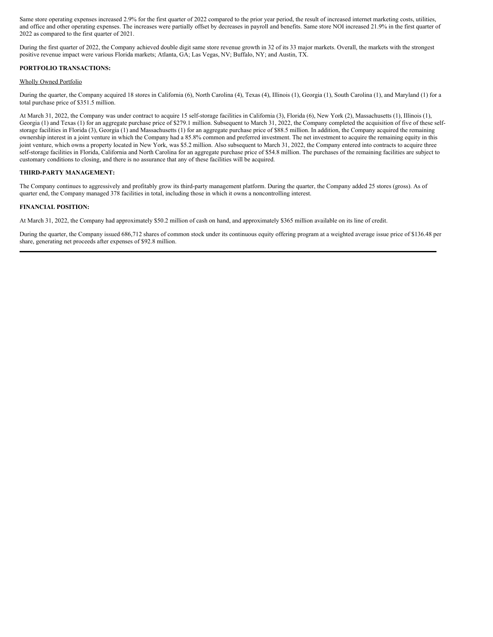Same store operating expenses increased 2.9% for the first quarter of 2022 compared to the prior year period, the result of increased internet marketing costs, utilities, and office and other operating expenses. The increases were partially offset by decreases in payroll and benefits. Same store NOI increased 21.9% in the first quarter of 2022 as compared to the first quarter of 2021.

During the first quarter of 2022, the Company achieved double digit same store revenue growth in 32 of its 33 major markets. Overall, the markets with the strongest positive revenue impact were various Florida markets; Atlanta, GA; Las Vegas, NV; Buffalo, NY; and Austin, TX.

#### **PORTFOLIO TRANSACTIONS:**

#### Wholly Owned Portfolio

During the quarter, the Company acquired 18 stores in California (6), North Carolina (4), Texas (4), Illinois (1), Georgia (1), South Carolina (1), and Maryland (1) for a total purchase price of \$351.5 million.

At March 31, 2022, the Company was under contract to acquire 15 self-storage facilities in California (3), Florida (6), New York (2), Massachusetts (1), Illinois (1), Georgia (1) and Texas (1) for an aggregate purchase price of \$279.1 million. Subsequent to March 31, 2022, the Company completed the acquisition of five of these selfstorage facilities in Florida (3), Georgia (1) and Massachusetts (1) for an aggregate purchase price of \$88.5 million. In addition, the Company acquired the remaining ownership interest in a joint venture in which the Company had a 85.8% common and preferred investment. The net investment to acquire the remaining equity in this joint venture, which owns a property located in New York, was \$5.2 million. Also subsequent to March 31, 2022, the Company entered into contracts to acquire three self-storage facilities in Florida, California and North Carolina for an aggregate purchase price of \$54.8 million. The purchases of the remaining facilities are subject to customary conditions to closing, and there is no assurance that any of these facilities will be acquired.

#### **THIRD-PARTY MANAGEMENT:**

The Company continues to aggressively and profitably grow its third-party management platform. During the quarter, the Company added 25 stores (gross). As of quarter end, the Company managed 378 facilities in total, including those in which it owns a noncontrolling interest.

#### **FINANCIAL POSITION:**

At March 31, 2022, the Company had approximately \$50.2 million of cash on hand, and approximately \$365 million available on its line of credit.

During the quarter, the Company issued 686,712 shares of common stock under its continuous equity offering program at a weighted average issue price of \$136.48 per share, generating net proceeds after expenses of \$92.8 million.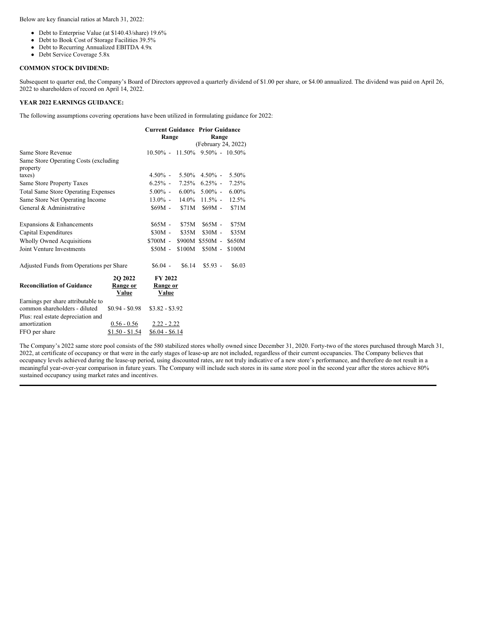Below are key financial ratios at March 31, 2022:

- Debt to Enterprise Value (at \$140.43/share) 19.6%
- Debt to Book Cost of Storage Facilities 39.5%
- Debt to Recurring Annualized EBITDA 4.9x
- Debt Service Coverage 5.8x

#### **COMMON STOCK DIVIDEND:**

Subsequent to quarter end, the Company's Board of Directors approved a quarterly dividend of \$1.00 per share, or \$4.00 annualized. The dividend was paid on April 26, 2022 to shareholders of record on April 14, 2022.

# **YEAR 2022 EARNINGS GUIDANCE:**

The following assumptions covering operations have been utilized in formulating guidance for 2022:

|                                                                     |                                      | <b>Current Guidance Prior Guidance</b> |        |                                        |          |  |
|---------------------------------------------------------------------|--------------------------------------|----------------------------------------|--------|----------------------------------------|----------|--|
|                                                                     |                                      | Range                                  |        | Range                                  |          |  |
|                                                                     |                                      |                                        |        | (February 24, 2022)                    |          |  |
| Same Store Revenue                                                  |                                      |                                        |        | $10.50\% - 11.50\% - 9.50\% - 10.50\%$ |          |  |
| Same Store Operating Costs (excluding<br>property                   |                                      |                                        |        |                                        |          |  |
| taxes)                                                              |                                      | $4.50\%$ -                             |        | $5.50\%$ 4.50% -                       | 5.50%    |  |
| Same Store Property Taxes                                           |                                      | $6.25\%$ -                             |        | $7.25\%$ 6.25% -                       | 7.25%    |  |
| <b>Total Same Store Operating Expenses</b>                          |                                      | $5.00\%$ -                             |        | $6.00\%$ 5.00% -                       | $6.00\%$ |  |
| Same Store Net Operating Income                                     |                                      | $13.0\%$ -                             |        | $14.0\%$ 11.5% -                       | 12.5%    |  |
| General & Administrative                                            |                                      | $$69M -$                               | \$71M  | $$69M -$                               | \$71M    |  |
| Expansions & Enhancements                                           |                                      | $$65M -$                               | \$75M  | $$65M -$                               | \$75M    |  |
| Capital Expenditures                                                |                                      | $$30M -$                               | \$35M  | $$30M -$                               | \$35M    |  |
| <b>Wholly Owned Acquisitions</b>                                    |                                      | \$700M -                               |        | \$900M \$550M -                        | \$650M   |  |
| Joint Venture Investments                                           |                                      | $$50M -$                               | \$100M | $$50M -$                               | \$100M   |  |
| Adjusted Funds from Operations per Share                            |                                      | $$6.04$ -                              | \$6.14 | $$5.93 -$                              | \$6.03   |  |
| <b>Reconciliation of Guidance</b>                                   | 20 20 22<br>Range or<br><b>Value</b> | FY 2022<br>Range or<br>Value           |        |                                        |          |  |
| Earnings per share attributable to<br>common shareholders - diluted | $$0.94 - $0.98$                      | $$3.82 - $3.92$                        |        |                                        |          |  |
| Plus: real estate depreciation and                                  |                                      |                                        |        |                                        |          |  |
| amortization                                                        | $0.56 - 0.56$                        | $2.22 - 2.22$                          |        |                                        |          |  |
| FFO per share                                                       | <u>\$1.50 - \$1.54</u>               | $$6.04 - $6.14$                        |        |                                        |          |  |

The Company's 2022 same store pool consists of the 580 stabilized stores wholly owned since December 31, 2020. Forty-two of the stores purchased through March 31, 2022, at certificate of occupancy or that were in the early stages of lease-up are not included, regardless of their current occupancies. The Company believes that occupancy levels achieved during the lease-up period, using discounted rates, are not truly indicative of a new store's performance, and therefore do not result in a meaningful year-over-year comparison in future years. The Company will include such stores in its same store pool in the second year after the stores achieve 80% sustained occupancy using market rates and incentives.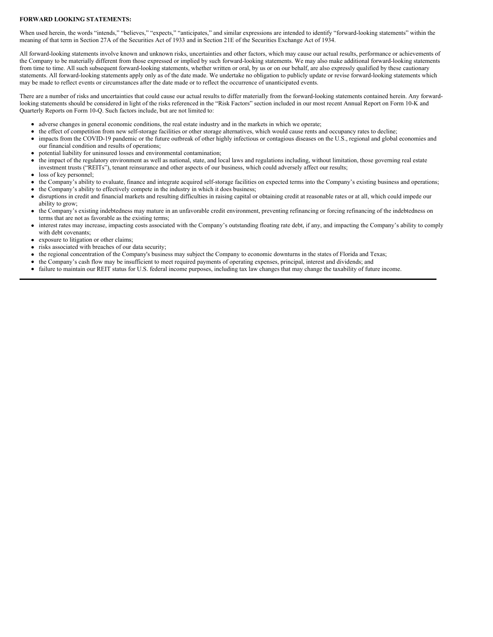#### **FORWARD LOOKING STATEMENTS:**

When used herein, the words "intends," "believes," "expects," "anticipates," and similar expressions are intended to identify "forward-looking statements" within the meaning of that term in Section 27A of the Securities Act of 1933 and in Section 21E of the Securities Exchange Act of 1934.

All forward-looking statements involve known and unknown risks, uncertainties and other factors, which may cause our actual results, performance or achievements of the Company to be materially different from those expressed or implied by such forward-looking statements. We may also make additional forward-looking statements from time to time. All such subsequent forward-looking statements, whether written or oral, by us or on our behalf, are also expressly qualified by these cautionary statements. All forward-looking statements apply only as of the date made. We undertake no obligation to publicly update or revise forward-looking statements which may be made to reflect events or circumstances after the date made or to reflect the occurrence of unanticipated events.

There are a number of risks and uncertainties that could cause our actual results to differ materially from the forward-looking statements contained herein. Any forwardlooking statements should be considered in light of the risks referenced in the "Risk Factors" section included in our most recent Annual Report on Form 10-K and Quarterly Reports on Form 10-Q. Such factors include, but are not limited to:

- adverse changes in general economic conditions, the real estate industry and in the markets in which we operate;
- the effect of competition from new self-storage facilities or other storage alternatives, which would cause rents and occupancy rates to decline;
- impacts from the COVID-19 pandemic or the future outbreak of other highly infectious or contagious diseases on the U.S., regional and global economies and  $\bullet$ our financial condition and results of operations;
- potential liability for uninsured losses and environmental contamination;
- the impact of the regulatory environment as well as national, state, and local laws and regulations including, without limitation, those governing real estate investment trusts ("REITs"), tenant reinsurance and other aspects of our business, which could adversely affect our results;
- loss of key personnel;
- the Company's ability to evaluate, finance and integrate acquired self-storage facilities on expected terms into the Company's existing business and operations;
- the Company's ability to effectively compete in the industry in which it does business;
- disruptions in credit and financial markets and resulting difficulties in raising capital or obtaining credit at reasonable rates or at all, which could impede our ability to grow;
- the Company's existing indebtedness may mature in an unfavorable credit environment, preventing refinancing or forcing refinancing of the indebtedness on terms that are not as favorable as the existing terms;
- interest rates may increase, impacting costs associated with the Company's outstanding floating rate debt, if any, and impacting the Company's ability to comply with debt covenants;
- exposure to litigation or other claims;
- risks associated with breaches of our data security;
- the regional concentration of the Company's business may subject the Company to economic downturns in the states of Florida and Texas;
- the Company's cash flow may be insufficient to meet required payments of operating expenses, principal, interest and dividends; and
- failure to maintain our REIT status for U.S. federal income purposes, including tax law changes that may change the taxability of future income.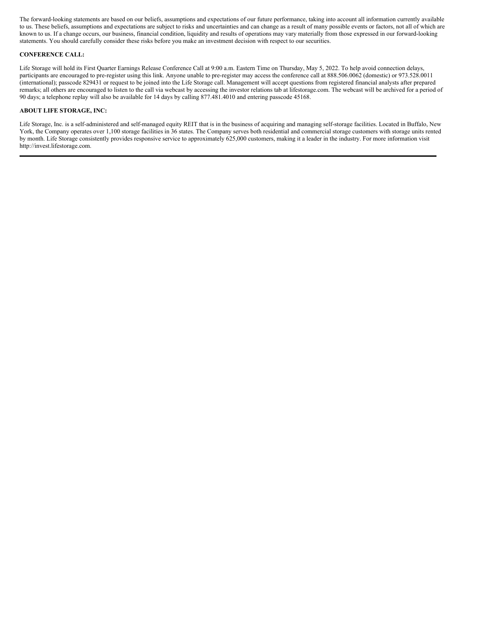The forward-looking statements are based on our beliefs, assumptions and expectations of our future performance, taking into account all information currently available to us. These beliefs, assumptions and expectations are subject to risks and uncertainties and can change as a result of many possible events or factors, not all of which are known to us. If a change occurs, our business, financial condition, liquidity and results of operations may vary materially from those expressed in our forward-looking statements. You should carefully consider these risks before you make an investment decision with respect to our securities.

#### **CONFERENCE CALL:**

Life Storage will hold its First Quarter Earnings Release Conference Call at 9:00 a.m. Eastern Time on Thursday, May 5, 2022. To help avoid connection delays, participants are encouraged to pre-register using this link. Anyone unable to pre-register may access the conference call at 888.506.0062 (domestic) or 973.528.0011 (international); passcode 829431 or request to be joined into the Life Storage call. Management will accept questions from registered financial analysts after prepared remarks; all others are encouraged to listen to the call via webcast by accessing the investor relations tab at lifestorage.com. The webcast will be archived for a period of 90 days; a telephone replay will also be available for 14 days by calling 877.481.4010 and entering passcode 45168.

#### **ABOUT LIFE STORAGE, INC:**

Life Storage, Inc. is a self-administered and self-managed equity REIT that is in the business of acquiring and managing self-storage facilities. Located in Buffalo, New York, the Company operates over 1,100 storage facilities in 36 states. The Company serves both residential and commercial storage customers with storage units rented by month. Life Storage consistently provides responsive service to approximately 625,000 customers, making it a leader in the industry. For more information visit http://invest.lifestorage.com.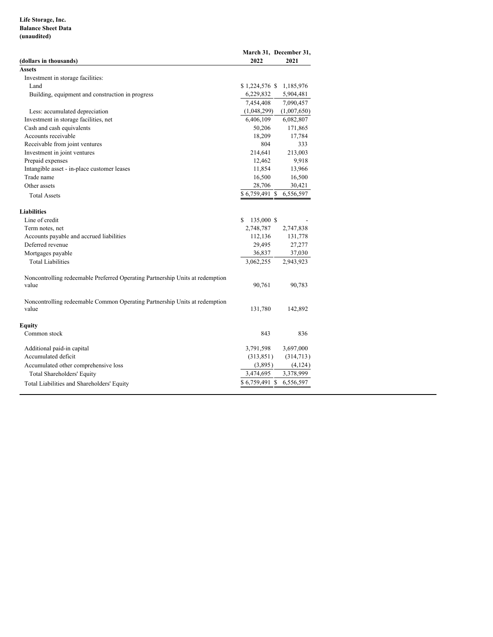# **Life Storage, Inc. Balance Sheet Data (unaudited)**

| (dollars in thousands)                                                                 | March 31, December 31,<br>2022 | 2021        |
|----------------------------------------------------------------------------------------|--------------------------------|-------------|
| Assets                                                                                 |                                |             |
| Investment in storage facilities:                                                      |                                |             |
| Land                                                                                   | $$1,224,576$ \, \$             | 1,185,976   |
| Building, equipment and construction in progress                                       | 6,229,832                      | 5,904,481   |
|                                                                                        | 7,454,408                      | 7,090,457   |
| Less: accumulated depreciation                                                         | (1,048,299)                    | (1,007,650) |
| Investment in storage facilities, net                                                  | 6,406,109                      | 6,082,807   |
| Cash and cash equivalents                                                              | 50,206                         | 171,865     |
| Accounts receivable                                                                    | 18,209                         | 17,784      |
| Receivable from joint ventures                                                         | 804                            | 333         |
| Investment in joint ventures                                                           | 214,641                        | 213,003     |
| Prepaid expenses                                                                       | 12,462                         | 9,918       |
| Intangible asset - in-place customer leases                                            | 11,854                         | 13,966      |
| Trade name                                                                             | 16,500                         | 16,500      |
| Other assets                                                                           | 28,706                         | 30,421      |
| <b>Total Assets</b>                                                                    | \$6,759,491 \$                 | 6,556,597   |
| Liabilities                                                                            |                                |             |
| Line of credit                                                                         | 135,000 \$<br>\$.              |             |
| Term notes, net                                                                        | 2,748,787                      | 2,747,838   |
| Accounts payable and accrued liabilities                                               | 112,136                        | 131,778     |
| Deferred revenue                                                                       | 29,495                         | 27,277      |
| Mortgages payable                                                                      | 36,837                         | 37,030      |
| <b>Total Liabilities</b>                                                               | 3,062,255                      | 2,943,923   |
| Noncontrolling redeemable Preferred Operating Partnership Units at redemption<br>value | 90,761                         | 90,783      |
| Noncontrolling redeemable Common Operating Partnership Units at redemption<br>value    | 131,780                        | 142,892     |
| Equity                                                                                 |                                |             |
| Common stock                                                                           | 843                            | 836         |
| Additional paid-in capital                                                             | 3,791,598                      | 3,697,000   |
| Accumulated deficit                                                                    | (313, 851)                     | (314,713)   |
| Accumulated other comprehensive loss                                                   | (3,895)                        | (4,124)     |
| <b>Total Shareholders' Equity</b>                                                      | 3,474,695                      | 3,378,999   |
| Total Liabilities and Shareholders' Equity                                             | \$6,759,491 \$                 | 6,556,597   |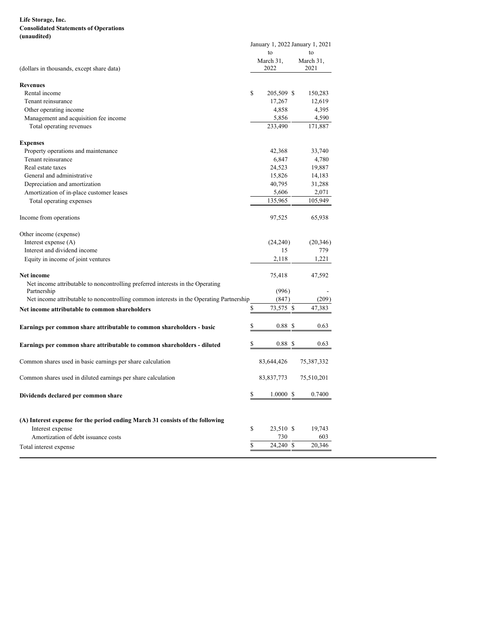# <span id="page-10-0"></span>**Life Storage, Inc. Consolidated Statements of Operations (unaudited)**

|                                                                                         |             | January 1, 2022 January 1, 2021 |                   |  |  |
|-----------------------------------------------------------------------------------------|-------------|---------------------------------|-------------------|--|--|
|                                                                                         |             | to                              | to                |  |  |
| (dollars in thousands, except share data)                                               |             | March 31,<br>2022               | March 31,<br>2021 |  |  |
| <b>Revenues</b>                                                                         |             |                                 |                   |  |  |
| Rental income                                                                           | $\mathbf S$ | 205,509 \$                      | 150,283           |  |  |
| Tenant reinsurance                                                                      |             | 17,267                          | 12,619            |  |  |
| Other operating income                                                                  |             | 4,858                           | 4,395             |  |  |
| Management and acquisition fee income                                                   |             | 5,856                           | 4,590             |  |  |
| Total operating revenues                                                                |             | 233,490                         | 171,887           |  |  |
| <b>Expenses</b>                                                                         |             |                                 |                   |  |  |
| Property operations and maintenance                                                     |             | 42,368                          | 33,740            |  |  |
| Tenant reinsurance                                                                      |             | 6,847                           | 4,780             |  |  |
| Real estate taxes                                                                       |             | 24,523                          | 19,887            |  |  |
| General and administrative                                                              |             | 15,826                          | 14,183            |  |  |
| Depreciation and amortization                                                           |             | 40,795                          | 31,288            |  |  |
| Amortization of in-place customer leases                                                |             | 5,606                           | 2,071             |  |  |
| Total operating expenses                                                                |             | 135,965                         | 105,949           |  |  |
| Income from operations                                                                  |             | 97,525                          | 65,938            |  |  |
| Other income (expense)                                                                  |             |                                 |                   |  |  |
| Interest expense (A)                                                                    |             | (24,240)                        | (20, 346)         |  |  |
| Interest and dividend income                                                            |             | 15                              | 779               |  |  |
| Equity in income of joint ventures                                                      |             | 2,118                           | 1,221             |  |  |
| <b>Net income</b>                                                                       |             | 75,418                          | 47,592            |  |  |
| Net income attributable to noncontrolling preferred interests in the Operating          |             |                                 |                   |  |  |
| Partnership                                                                             |             | (996)                           |                   |  |  |
| Net income attributable to noncontrolling common interests in the Operating Partnership |             | (847)                           | (209)             |  |  |
| Net income attributable to common shareholders                                          | \$          | 73,575 \$                       | 47,383            |  |  |
| Earnings per common share attributable to common shareholders - basic                   | \$          | 0.88 <sup>°</sup>               | 0.63              |  |  |
| Earnings per common share attributable to common shareholders - diluted                 | \$          | 0.88S                           | 0.63              |  |  |
| Common shares used in basic earnings per share calculation                              |             | 83,644,426                      | 75,387,332        |  |  |
| Common shares used in diluted earnings per share calculation                            |             | 83,837,773                      | 75,510,201        |  |  |
| Dividends declared per common share                                                     | \$          | $1.0000 \text{ }$ \$            | 0.7400            |  |  |
| (A) Interest expense for the period ending March 31 consists of the following           |             |                                 |                   |  |  |
| Interest expense                                                                        | \$          | 23,510 \$                       | 19,743            |  |  |
| Amortization of debt issuance costs                                                     |             | 730                             | 603               |  |  |
|                                                                                         | \$          | 24,240 \$                       | 20,346            |  |  |
| Total interest expense                                                                  |             |                                 |                   |  |  |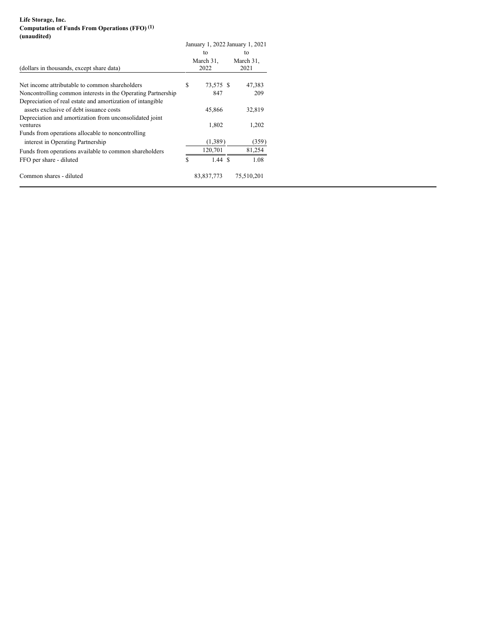# **Life Storage, Inc. Computation of Funds From Operations (FFO) (1) (unaudited)**

|                                                                                                       | January 1, 2022 January 1, 2021 |                         |  |                         |
|-------------------------------------------------------------------------------------------------------|---------------------------------|-------------------------|--|-------------------------|
| (dollars in thousands, except share data)                                                             |                                 | to<br>March 31,<br>2022 |  | to<br>March 31,<br>2021 |
| Net income attributable to common shareholders                                                        | S                               | 73,575 \$               |  | 47,383                  |
| Noncontrolling common interests in the Operating Partnership                                          |                                 | 847                     |  | 209                     |
| Depreciation of real estate and amortization of intangible<br>assets exclusive of debt issuance costs |                                 | 45,866                  |  | 32,819                  |
| Depreciation and amortization from unconsolidated joint<br>ventures                                   |                                 | 1,802                   |  | 1,202                   |
| Funds from operations allocable to noncontrolling<br>interest in Operating Partnership                |                                 | (1,389)                 |  | (359)                   |
| Funds from operations available to common shareholders                                                |                                 | 120,701                 |  | 81,254                  |
| FFO per share - diluted                                                                               | S                               | 1.44S                   |  | 1.08                    |
| Common shares - diluted                                                                               |                                 | 83,837,773              |  | 75,510,201              |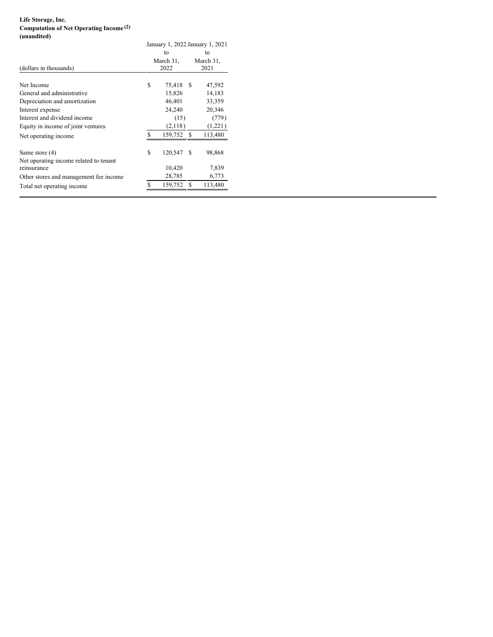# **Life Storage, Inc. Computation of Net Operating Income (2) (unaudited)**

| January 1, 2022 January 1, 2021 |         |                                                   |                                                    |  |
|---------------------------------|---------|---------------------------------------------------|----------------------------------------------------|--|
|                                 | to      |                                                   | tο                                                 |  |
|                                 |         |                                                   | March 31,                                          |  |
| 2022                            |         |                                                   | 2021                                               |  |
|                                 |         |                                                   |                                                    |  |
|                                 |         |                                                   | 47,592                                             |  |
|                                 |         |                                                   | 14,183                                             |  |
|                                 |         |                                                   | 33,359                                             |  |
|                                 | 24,240  |                                                   | 20,346                                             |  |
|                                 |         |                                                   | (779)                                              |  |
|                                 |         |                                                   | (1,221)                                            |  |
| S                               |         |                                                   | 113,480                                            |  |
| \$                              | 120,547 | S                                                 | 98,868                                             |  |
|                                 |         |                                                   | 7,839                                              |  |
|                                 |         |                                                   |                                                    |  |
|                                 |         |                                                   | 6,773                                              |  |
| S                               | 159,752 |                                                   | 113,480                                            |  |
|                                 | \$      | March 31,<br>15,826<br>46,401<br>10,420<br>28,785 | 75,418 \$<br>(15)<br>(2,118)<br>159,752 \$<br>- \$ |  |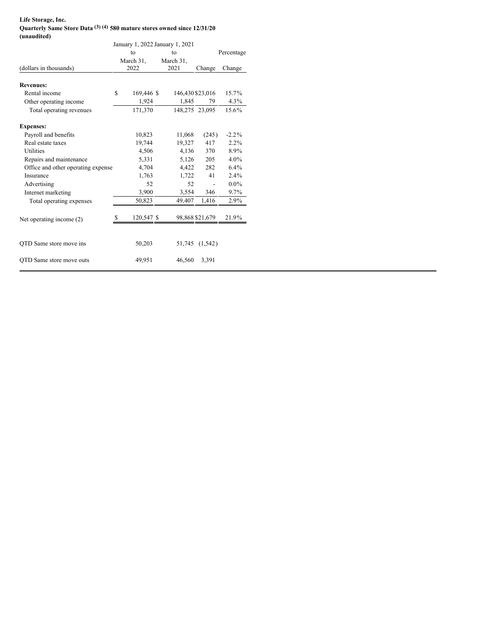### **Life Storage, Inc. Quarterly Same Store Data (3) (4) 580 mature stores owned since 12/31/20 (unaudited)**

| $($ unauurtu)                      |   |                                 |                  |                 |            |
|------------------------------------|---|---------------------------------|------------------|-----------------|------------|
|                                    |   | January 1, 2022 January 1, 2021 |                  |                 |            |
|                                    |   | to                              | to               |                 | Percentage |
|                                    |   | March 31,                       | March 31,        |                 |            |
| (dollars in thousands)             |   | 2022                            | 2021             | Change          | Change     |
| <b>Revenues:</b>                   |   |                                 |                  |                 |            |
| Rental income                      | S | 169,446 \$                      | 146,430 \$23,016 |                 | 15.7%      |
| Other operating income             |   | 1,924                           | 1,845            | 79              | 4.3%       |
| Total operating revenues           |   | 171,370                         | 148,275 23,095   |                 | 15.6%      |
| <b>Expenses:</b>                   |   |                                 |                  |                 |            |
| Payroll and benefits               |   | 10,823                          | 11,068           | (245)           | $-2.2\%$   |
| Real estate taxes                  |   | 19,744                          | 19,327           | 417             | $2.2\%$    |
| <b>Utilities</b>                   |   | 4,506                           | 4,136            | 370             | 8.9%       |
| Repairs and maintenance            |   | 5,331                           | 5,126            | 205             | $4.0\%$    |
| Office and other operating expense |   | 4,704                           | 4,422            | 282             | $6.4\%$    |
| Insurance                          |   | 1,763                           | 1,722            | 41              | $2.4\%$    |
| Advertising                        |   | 52                              | 52               |                 | $0.0\%$    |
| Internet marketing                 |   | 3,900                           | 3,554            | 346             | 9.7%       |
| Total operating expenses           |   | 50,823                          | 49,407           | 1,416           | 2.9%       |
| Net operating income (2)           | S | 120,547 \$                      |                  | 98,868 \$21,679 | 21.9%      |
| QTD Same store move ins            |   | 50,203                          | 51,745           | (1, 542)        |            |
| QTD Same store move outs           |   | 49,951                          | 46,560           | 3,391           |            |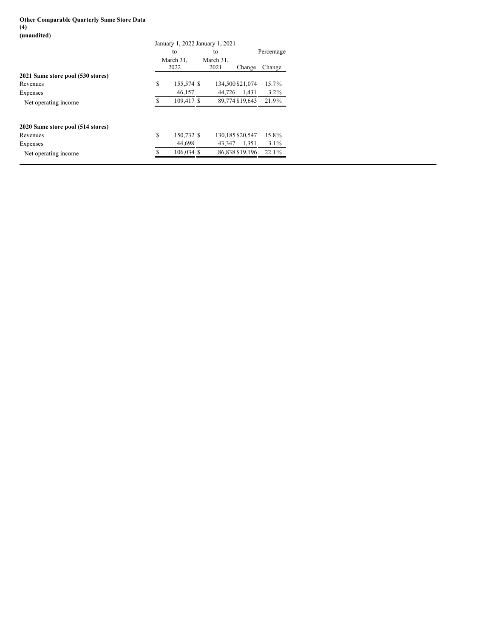## **Other Comparable Quarterly Same Store Data (4) (unaudited)**

|                                   | January 1, 2022 January 1, 2021 |                   |                   |                  |            |  |
|-----------------------------------|---------------------------------|-------------------|-------------------|------------------|------------|--|
|                                   | to                              |                   | to                |                  | Percentage |  |
|                                   |                                 | March 31,<br>2022 | March 31.<br>2021 | Change           | Change     |  |
| 2021 Same store pool (530 stores) |                                 |                   |                   |                  |            |  |
| Revenues                          | S                               | 155,574 \$        |                   | 134,500 \$21,074 | 15.7%      |  |
| Expenses                          |                                 | 46,157            | 44.726            | 1.431            | $3.2\%$    |  |
| Net operating income              |                                 | 109.417 \$        |                   | 89,774 \$19,643  | 21.9%      |  |
| 2020 Same store pool (514 stores) |                                 |                   |                   |                  |            |  |
| Revenues                          | S                               | 150,732 \$        |                   | 130,185 \$20,547 | 15.8%      |  |
| Expenses                          |                                 | 44.698            | 43.347            | 1.351            | $3.1\%$    |  |
| Net operating income.             |                                 | 106,034 \$        |                   | 86,838 \$19,196  | $22.1\%$   |  |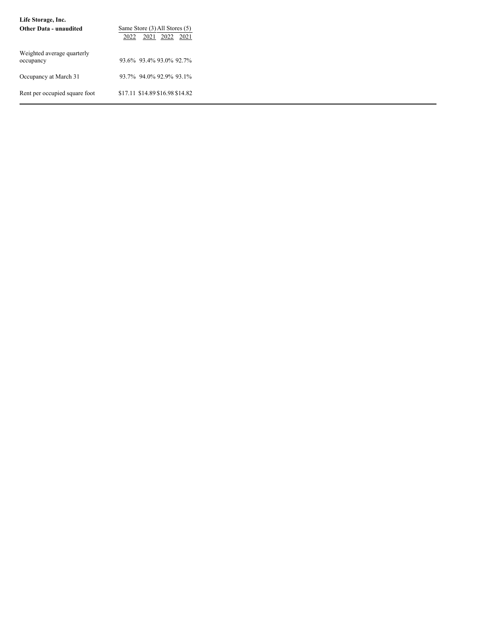| Life Storage, Inc.                      |                                                               |
|-----------------------------------------|---------------------------------------------------------------|
| <b>Other Data - unaudited</b>           | Same Store (3) All Stores (5)<br>2021<br>2022<br>2022<br>2021 |
| Weighted average quarterly<br>occupancy | 93.6% 93.4% 93.0% 92.7%                                       |
| Occupancy at March 31                   | 93.7% 94.0% 92.9% 93.1%                                       |
| Rent per occupied square foot           | \$17.11 \$14.89 \$16.98 \$14.82                               |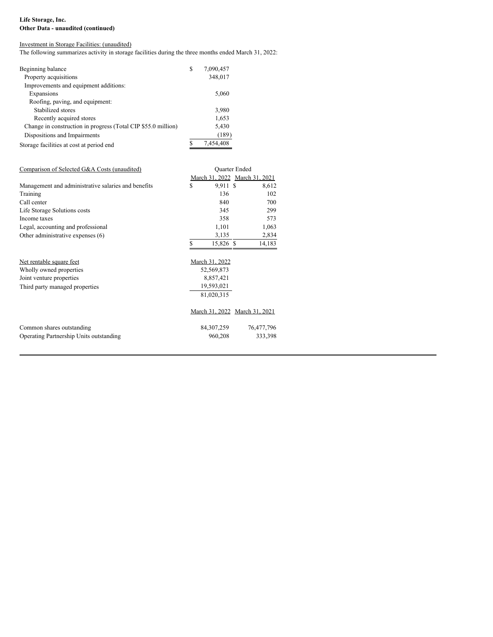# **Life Storage, Inc. Other Data - unaudited (continued)**

# Investment in Storage Facilities: (unaudited)

The following summarizes activity in storage facilities during the three months ended March 31, 2022:

| S | 7,090,457 |
|---|-----------|
|   | 348,017   |
|   |           |
|   | 5,060     |
|   |           |
|   | 3,980     |
|   | 1,653     |
|   | 5,430     |
|   | (189)     |
| S | 7,454,408 |
|   |           |

| Comparison of Selected G&A Costs (unaudited)        | <b>Ouarter Ended</b> |                |                               |
|-----------------------------------------------------|----------------------|----------------|-------------------------------|
|                                                     |                      |                | March 31, 2022 March 31, 2021 |
| Management and administrative salaries and benefits | S                    | 9,911 \$       | 8,612                         |
| Training                                            |                      | 136            | 102                           |
| Call center                                         |                      | 840            | 700                           |
| Life Storage Solutions costs                        |                      | 345            | 299                           |
| Income taxes                                        |                      | 358            | 573                           |
| Legal, accounting and professional                  |                      | 1,101          | 1,063                         |
| Other administrative expenses (6)                   |                      | 3,135          | 2,834                         |
|                                                     | ς                    | 15,826 \$      | 14,183                        |
|                                                     |                      |                |                               |
| Net rentable square feet                            |                      | March 31, 2022 |                               |
| Wholly owned properties                             |                      | 52,569,873     |                               |
| Joint venture properties                            |                      | 8,857,421      |                               |
| Third party managed properties                      |                      | 19,593,021     |                               |
|                                                     |                      | 81,020,315     |                               |
|                                                     |                      |                | March 31, 2022 March 31, 2021 |
| Common shares outstanding                           |                      | 84, 307, 259   | 76,477,796                    |
| Operating Partnership Units outstanding             |                      | 960,208        | 333,398                       |